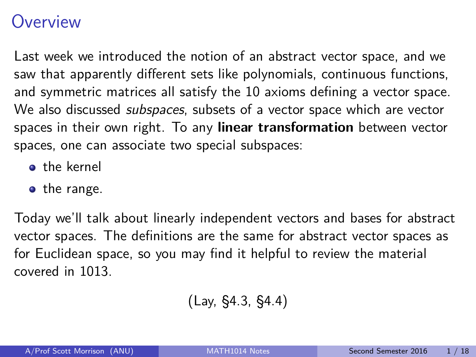## <span id="page-0-0"></span>**Overview**

Last week we introduced the notion of an abstract vector space, and we saw that apparently different sets like polynomials, continuous functions, and symmetric matrices all satisfy the 10 axioms defining a vector space. We also discussed *subspaces*, subsets of a vector space which are vector spaces in their own right. To any **linear transformation** between vector spaces, one can associate two special subspaces:

- **o** the kernel
- the range.

Today we'll talk about linearly independent vectors and bases for abstract vector spaces. The definitions are the same for abstract vector spaces as for Euclidean space, so you may find it helpful to review the material covered in 1013.

$$
(Lay, \, \S4.3, \, \S4.4)
$$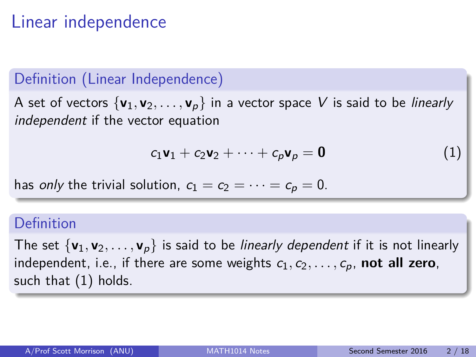# Linear independence

### Definition (Linear Independence)

A set of vectors  $\{v_1, v_2, \ldots, v_p\}$  in a vector space V is said to be *linearly* independent if the vector equation

<span id="page-1-0"></span>
$$
c_1\mathbf{v}_1 + c_2\mathbf{v}_2 + \cdots + c_p\mathbf{v}_p = \mathbf{0}
$$
 (1)

has only the trivial solution,  $c_1 = c_2 = \cdots = c_p = 0$ .

### Definition

The set  $\{v_1, v_2, \ldots, v_p\}$  is said to be *linearly dependent* if it is not linearly independent, i.e., if there are some weights  $c_1, c_2, \ldots, c_p$ , **not all zero**, such that [\(1\)](#page-1-0) holds.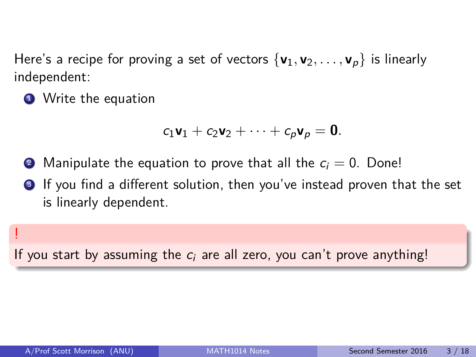Here's a recipe for proving a set of vectors  $\{v_1, v_2, \ldots, v_p\}$  is linearly independent:

**1** Write the equation

$$
c_1\mathbf{v}_1+c_2\mathbf{v}_2+\cdots+c_p\mathbf{v}_p=\mathbf{0}.
$$

- **2** Manipulate the equation to prove that all the  $c_i = 0$ . Done!
- **3** If you find a different solution, then you've instead proven that the set is linearly dependent.

If you start by assuming the  $c_i$  are all zero, you can't prove anything!

!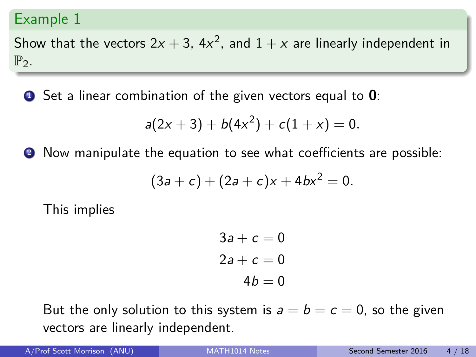Show that the vectors  $2x + 3$ ,  $4x^2$ , and  $1 + x$  are linearly independent in  $\mathbb{P}_2$ .

<sup>1</sup> Set a linear combination of the given vectors equal to **0**:

$$
a(2x + 3) + b(4x2) + c(1 + x) = 0.
$$

2 Now manipulate the equation to see what coefficients are possible:

$$
(3a + c) + (2a + c)x + 4bx^2 = 0.
$$

This implies

$$
3a + c = 0
$$

$$
2a + c = 0
$$

$$
4b = 0
$$

But the only solution to this system is  $a = b = c = 0$ , so the given vectors are linearly independent.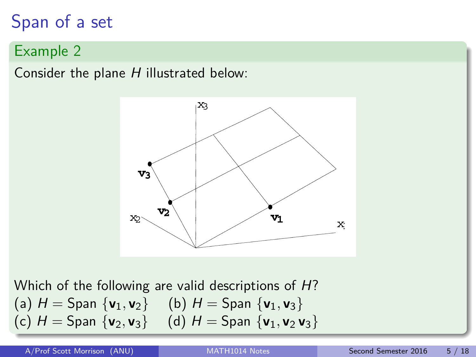# Span of a set

### Example 2

Consider the plane  $H$  illustrated below:



Which of the following are valid descriptions of H? (a)  $H =$  Span  $\{v_1, v_2\}$  (b)  $H =$  Span  $\{v_1, v_3\}$ (c)  $H =$  Span  $\{v_2, v_3\}$  (d)  $H =$  Span  $\{v_1, v_2, v_3\}$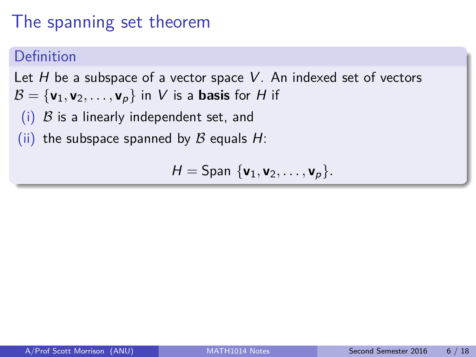# The spanning set theorem

### **Definition**

Let  $H$  be a subspace of a vector space  $V$ . An indexed set of vectors  $\mathcal{B} = {\mathbf{v}_1, \mathbf{v}_2, \dots, \mathbf{v}_p}$  in V is a **basis** for H if

(i)  $\beta$  is a linearly independent set, and

(ii) the subspace spanned by  $\beta$  equals H:

$$
H=\mathsf{Span}\ \{\mathbf{v}_1,\mathbf{v}_2,\ldots,\mathbf{v}_p\}.
$$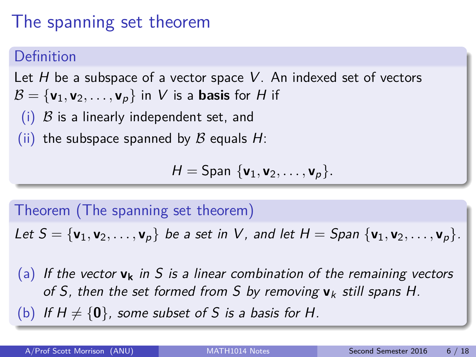# The spanning set theorem

## **Definition**

Let  $H$  be a subspace of a vector space  $V$ . An indexed set of vectors  $\mathcal{B} = {\mathbf{v}_1, \mathbf{v}_2, \dots, \mathbf{v}_p}$  in V is a **basis** for H if

(i)  $\beta$  is a linearly independent set, and

(ii) the subspace spanned by  $\beta$  equals H:

$$
H=\mathsf{Span}\ \{\mathbf{v}_1,\mathbf{v}_2,\ldots,\mathbf{v}_p\}.
$$

### Theorem (The spanning set theorem)

Let  $S = {\mathbf{v}_1, \mathbf{v}_2, \dots, \mathbf{v}_p}$  be a set in V, and let  $H = Span { {\mathbf{v}_1, \mathbf{v}_2, \dots, \mathbf{v}_p} }$ .

(a) If the vector  $\mathbf{v}_k$  in S is a linear combination of the remaining vectors of S, then the set formed from S by removing  $v_k$  still spans H.

(b) If  $H \neq \{0\}$ , some subset of S is a basis for H.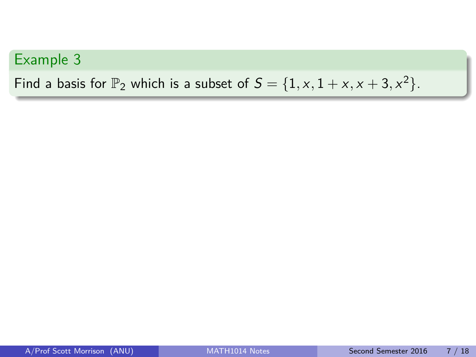Find a basis for  $\mathbb{P}_2$  which is a subset of  $S = \{1, x, 1 + x, x + 3, x^2\}.$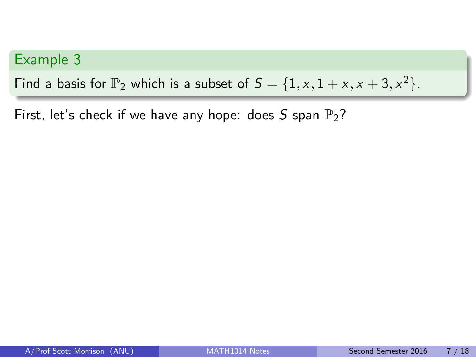Find a basis for  $\mathbb{P}_2$  which is a subset of  $S = \{1, x, 1 + x, x + 3, x^2\}.$ 

First, let's check if we have any hope: does S span  $\mathbb{P}_2$ ?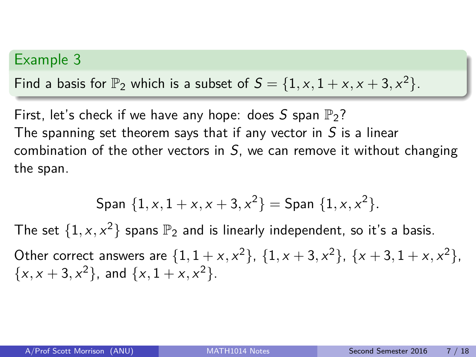Find a basis for  $\mathbb{P}_2$  which is a subset of  $S = \{1, x, 1 + x, x + 3, x^2\}.$ 

First, let's check if we have any hope: does S span  $\mathbb{P}_2$ ? The spanning set theorem says that if any vector in  $S$  is a linear combination of the other vectors in  $S$ , we can remove it without changing the span.

$$
\text{Span } \{1, x, 1 + x, x + 3, x^2\} = \text{Span } \{1, x, x^2\}.
$$

The set  $\{1, x, x^2\}$  spans  $\mathbb{P}_2$  and is linearly independent, so it's a basis.

Other correct answers are  $\{1, 1 + x, x^2\}$ ,  $\{1, x + 3, x^2\}$ ,  $\{x + 3, 1 + x, x^2\}$ ,  $\{x, x + 3, x^2\}$ , and  $\{x, 1 + x, x^2\}$ .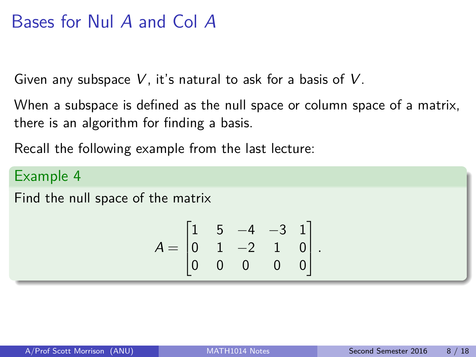# Bases for Nul A and Col A

Given any subspace  $V$ , it's natural to ask for a basis of  $V$ .

When a subspace is defined as the null space or column space of a matrix, there is an algorithm for finding a basis.

Recall the following example from the last lecture:

### Example 4

Find the null space of the matrix

$$
A = \begin{bmatrix} 1 & 5 & -4 & -3 & 1 \\ 0 & 1 & -2 & 1 & 0 \\ 0 & 0 & 0 & 0 & 0 \end{bmatrix}.
$$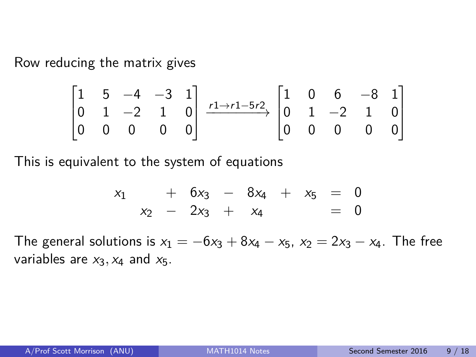Row reducing the matrix gives

$$
\begin{bmatrix} 1 & 5 & -4 & -3 & 1 \ 0 & 1 & -2 & 1 & 0 \ 0 & 0 & 0 & 0 & 0 \end{bmatrix} \xrightarrow{r1 \to r1 - 5r2} \begin{bmatrix} 1 & 0 & 6 & -8 & 1 \ 0 & 1 & -2 & 1 & 0 \ 0 & 0 & 0 & 0 & 0 \end{bmatrix}
$$

This is equivalent to the system of equations

$$
\begin{array}{ccccccc}\nx_1 & + & 6x_3 & - & 8x_4 & + & x_5 & = & 0 \\
x_2 & - & 2x_3 & + & x_4 & & = & 0\n\end{array}
$$

The general solutions is  $x_1 = -6x_3 + 8x_4 - x_5$ ,  $x_2 = 2x_3 - x_4$ . The free variables are  $x_3$ ,  $x_4$  and  $x_5$ .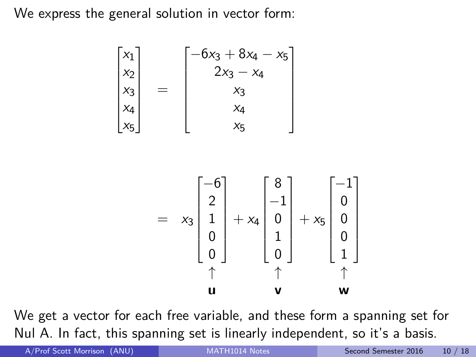We express the general solution in vector form:

 $\sqrt{ }$ 

 $x_1$  $x_2$  $x_3$ x4  $x_5$ 

$$
\begin{bmatrix}\n-6x_3 + 8x_4 - x_5 \\
2x_3 - x_4 \\
x_3 \\
x_4 \\
x_5\n\end{bmatrix}
$$
\n=\n
$$
\begin{bmatrix}\n-6 \\
2 \\
x_3 \\
x_4 \\
x_5\n\end{bmatrix}
$$
\n=\n
$$
x_3 \begin{bmatrix}\n-6 \\
2 \\
1 \\
0 \\
0 \\
0 \\
0\n\end{bmatrix} + x_4 \begin{bmatrix}\n8 \\
-1 \\
0 \\
1 \\
0 \\
0 \\
1\n\end{bmatrix} + x_5 \begin{bmatrix}\n-1 \\
0 \\
0 \\
0 \\
1 \\
1\n\end{bmatrix}
$$

We get a vector for each free variable, and these form a spanning set for Nul A. In fact, this spanning set is linearly independent, so it's a basis.

A/Prof Scott Morrison (ANU) [MATH1014 Notes](#page-0-0) Second Semester 2016 10 / 18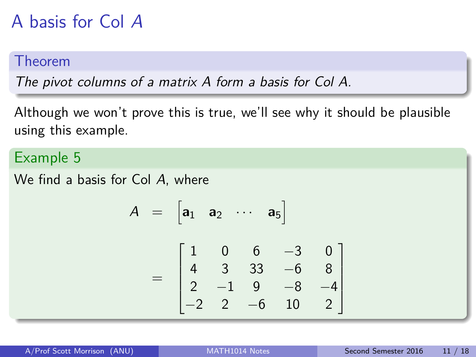# A basis for Col A

### Theorem

The pivot columns of a matrix A form a basis for Col A.

Although we won't prove this is true, we'll see why it should be plausible using this example.

#### Example 5

We find a basis for Col A, where

 $\boldsymbol{A}$ 

$$
= \begin{bmatrix} a_1 & a_2 & \cdots & a_5 \end{bmatrix}
$$

$$
= \begin{bmatrix} 1 & 0 & 6 & -3 & 0 \\ 4 & 3 & 33 & -6 & 8 \\ 2 & -1 & 9 & -8 & -4 \\ -2 & 2 & -6 & 10 & 2 \end{bmatrix}
$$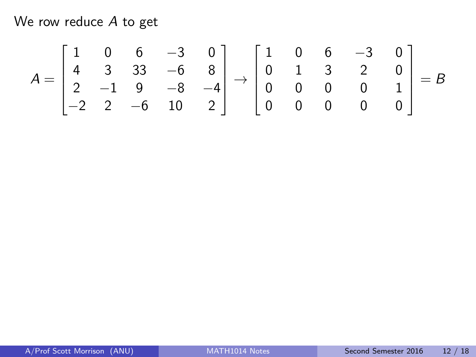$$
A = \begin{bmatrix} 1 & 0 & 6 & -3 & 0 \\ 4 & 3 & 33 & -6 & 8 \\ 2 & -1 & 9 & -8 & -4 \\ -2 & 2 & -6 & 10 & 2 \end{bmatrix} \rightarrow \begin{bmatrix} 1 & 0 & 6 & -3 & 0 \\ 0 & 1 & 3 & 2 & 0 \\ 0 & 0 & 0 & 0 & 1 \\ 0 & 0 & 0 & 0 & 0 \end{bmatrix} = B
$$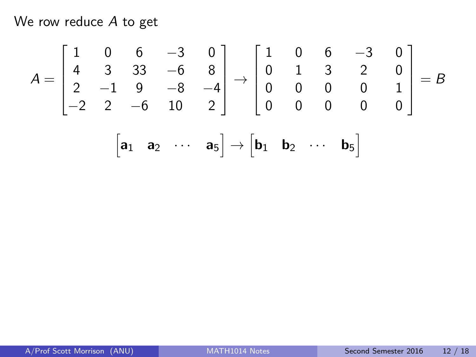$$
A = \begin{bmatrix} 1 & 0 & 6 & -3 & 0 \\ 4 & 3 & 33 & -6 & 8 \\ 2 & -1 & 9 & -8 & -4 \\ -2 & 2 & -6 & 10 & 2 \end{bmatrix} \rightarrow \begin{bmatrix} 1 & 0 & 6 & -3 & 0 \\ 0 & 1 & 3 & 2 & 0 \\ 0 & 0 & 0 & 0 & 1 \\ 0 & 0 & 0 & 0 & 0 \end{bmatrix} = B
$$

$$
\begin{bmatrix} \mathbf{a}_1 & \mathbf{a}_2 & \cdots & \mathbf{a}_5 \end{bmatrix} \rightarrow \begin{bmatrix} \mathbf{b}_1 & \mathbf{b}_2 & \cdots & \mathbf{b}_5 \end{bmatrix}
$$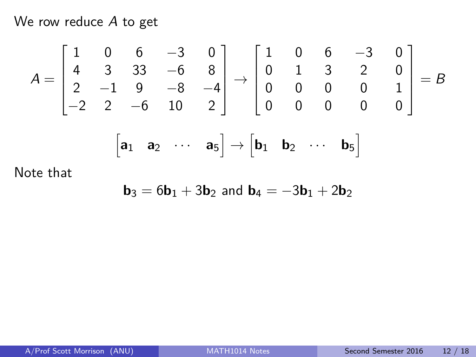$$
A = \begin{bmatrix} 1 & 0 & 6 & -3 & 0 \\ 4 & 3 & 33 & -6 & 8 \\ 2 & -1 & 9 & -8 & -4 \\ -2 & 2 & -6 & 10 & 2 \end{bmatrix} \rightarrow \begin{bmatrix} 1 & 0 & 6 & -3 & 0 \\ 0 & 1 & 3 & 2 & 0 \\ 0 & 0 & 0 & 0 & 1 \\ 0 & 0 & 0 & 0 & 0 \end{bmatrix} = B
$$

$$
\begin{bmatrix} \mathbf{a}_1 & \mathbf{a}_2 & \cdots & \mathbf{a}_5 \end{bmatrix} \rightarrow \begin{bmatrix} \mathbf{b}_1 & \mathbf{b}_2 & \cdots & \mathbf{b}_5 \end{bmatrix}
$$

Note that

$$
\boldsymbol{b}_3=6\boldsymbol{b}_1+3\boldsymbol{b}_2 \text{ and } \boldsymbol{b}_4=-3\boldsymbol{b}_1+2\boldsymbol{b}_2
$$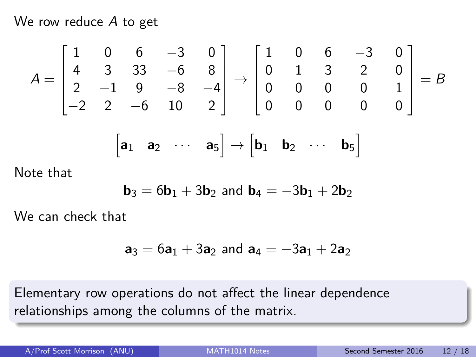$$
A = \begin{bmatrix} 1 & 0 & 6 & -3 & 0 \\ 4 & 3 & 33 & -6 & 8 \\ 2 & -1 & 9 & -8 & -4 \\ -2 & 2 & -6 & 10 & 2 \end{bmatrix} \rightarrow \begin{bmatrix} 1 & 0 & 6 & -3 & 0 \\ 0 & 1 & 3 & 2 & 0 \\ 0 & 0 & 0 & 0 & 1 \\ 0 & 0 & 0 & 0 & 0 \end{bmatrix} = B
$$

$$
\begin{bmatrix} \mathbf{a}_1 & \mathbf{a}_2 & \cdots & \mathbf{a}_5 \end{bmatrix} \rightarrow \begin{bmatrix} \mathbf{b}_1 & \mathbf{b}_2 & \cdots & \mathbf{b}_5 \end{bmatrix}
$$

Note that

$$
\boldsymbol{b}_3=6\boldsymbol{b}_1+3\boldsymbol{b}_2 \text{ and } \boldsymbol{b}_4=-3\boldsymbol{b}_1+2\boldsymbol{b}_2
$$

We can check that

$$
{\bf a}_3 = 6{\bf a}_1 + 3{\bf a}_2 \text{ and } {\bf a}_4 = -3{\bf a}_1 + 2{\bf a}_2
$$

Elementary row operations do not affect the linear dependence relationships among the columns of the matrix.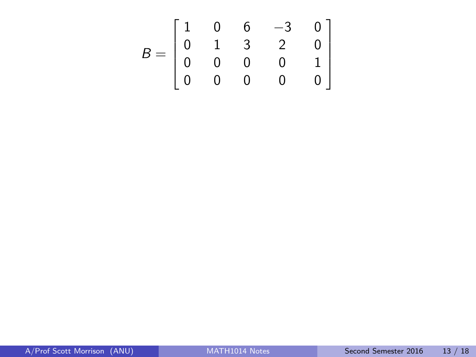$$
B = \begin{bmatrix} 1 & 0 & 6 & -3 & 0 \\ 0 & 1 & 3 & 2 & 0 \\ 0 & 0 & 0 & 0 & 1 \\ 0 & 0 & 0 & 0 & 0 \end{bmatrix}
$$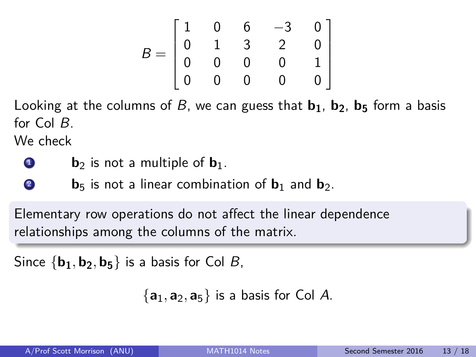$$
B = \begin{bmatrix} 1 & 0 & 6 & -3 & 0 \\ 0 & 1 & 3 & 2 & 0 \\ 0 & 0 & 0 & 0 & 1 \\ 0 & 0 & 0 & 0 & 0 \end{bmatrix}
$$

Looking at the columns of B, we can guess that **b1**, **b2**, **b<sup>5</sup>** form a basis for Col B.

We check

- $\bullet$  **b**<sub>2</sub> is not a multiple of  $\mathbf{b}_1$ .
- **2 b**<sub>5</sub> is not a linear combination of  $\mathbf{b}_1$  and  $\mathbf{b}_2$ .

Elementary row operations do not affect the linear dependence relationships among the columns of the matrix.

Since  $\{b_1, b_2, b_5\}$  is a basis for Col B,

 $\{a_1, a_2, a_5\}$  is a basis for Col A.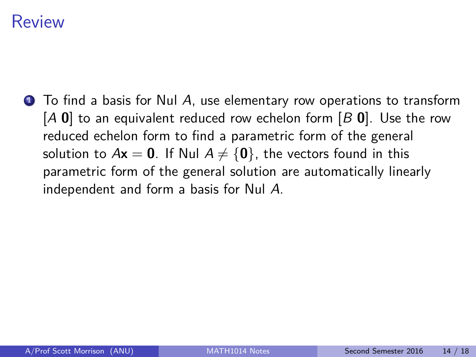## Review

 $\bullet$  To find a basis for Nul A, use elementary row operations to transform [A **0**] to an equivalent reduced row echelon form [B **0**]. Use the row reduced echelon form to find a parametric form of the general solution to  $A\mathbf{x} = \mathbf{0}$ . If Nul  $A \neq \{\mathbf{0}\}\$ , the vectors found in this parametric form of the general solution are automatically linearly independent and form a basis for Nul A.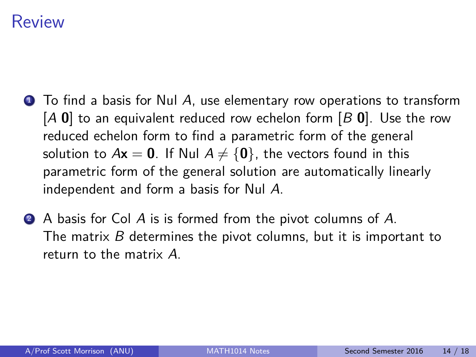## Review

- $\bullet$  To find a basis for Nul A, use elementary row operations to transform [A **0**] to an equivalent reduced row echelon form [B **0**]. Use the row reduced echelon form to find a parametric form of the general solution to  $A\mathbf{x} = \mathbf{0}$ . If Nul  $A \neq \{\mathbf{0}\}\$ , the vectors found in this parametric form of the general solution are automatically linearly independent and form a basis for Nul A.
- **2** A basis for Col A is is formed from the pivot columns of A. The matrix  $B$  determines the pivot columns, but it is important to return to the matrix A.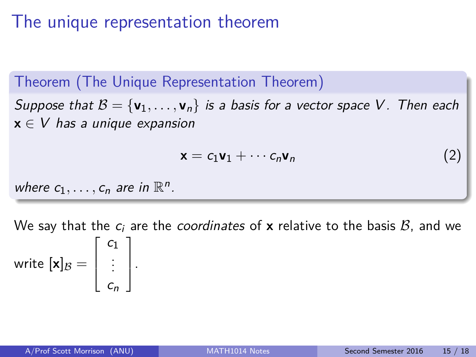# The unique representation theorem

Theorem (The Unique Representation Theorem)

Suppose that  $B = {\bf v}_1, \ldots, {\bf v}_n$  is a basis for a vector space V. Then each  $x \in V$  has a unique expansion

$$
\mathbf{x} = c_1 \mathbf{v}_1 + \cdots c_n \mathbf{v}_n \tag{2}
$$

where  $c_1, \ldots, c_n$  are in  $\mathbb{R}^n$ .

We say that the  $c_i$  are the *coordinates* of **x** relative to the basis  $B$ , and we write  $[\mathbf{x}]_\mathcal{B} =$  $\sqrt{ }$  $\overline{\phantom{a}}$  $c_1$ . . .  $c_n$ 1  $\vert \cdot$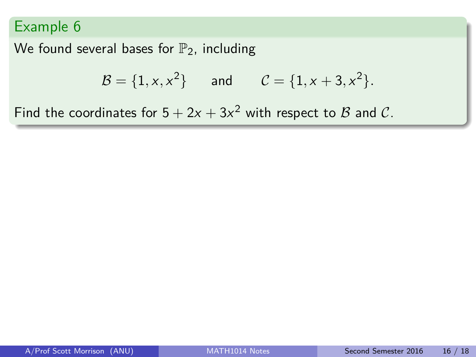We found several bases for  $\mathbb{P}_2$ , including

$$
\mathcal{B} = \{1, x, x^2\}
$$
 and  $\mathcal{C} = \{1, x + 3, x^2\}.$ 

Find the coordinates for  $5 + 2x + 3x^2$  with respect to  $\beta$  and  $\mathcal{C}$ .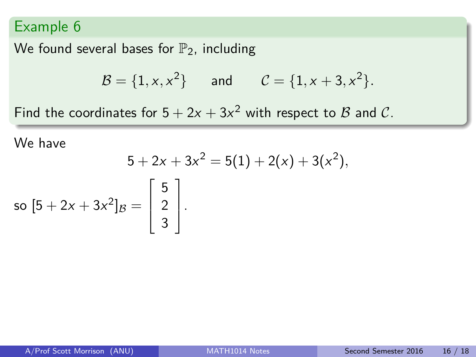We found several bases for  $\mathbb{P}_2$ , including

Н

$$
\mathcal{B} = \{1, x, x^2\}
$$
 and  $\mathcal{C} = \{1, x + 3, x^2\}.$ 

Find the coordinates for  $5 + 2x + 3x^2$  with respect to  $\beta$  and  $\mathcal{C}$ .

We have

$$
5+2x+3x^2=5(1)+2(x)+3(x^2),
$$

so 
$$
[5 + 2x + 3x^2]_B = \begin{bmatrix} 5 \\ 2 \\ 3 \end{bmatrix}
$$
.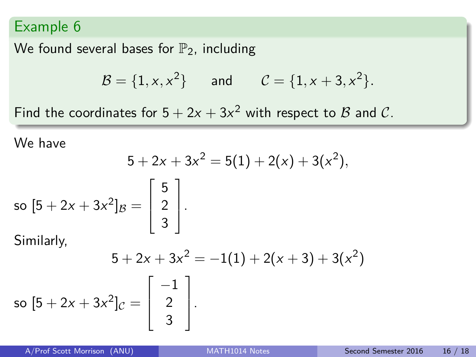We found several bases for  $\mathbb{P}_2$ , including

$$
\mathcal{B} = \{1, x, x^2\}
$$
 and  $\mathcal{C} = \{1, x + 3, x^2\}.$ 

Find the coordinates for  $5 + 2x + 3x^2$  with respect to  $\beta$  and  $\mathcal{C}$ .

We have

$$
5 + 2x + 3x^2 = 5(1) + 2(x) + 3(x^2),
$$

so 
$$
[5 + 2x + 3x^2]_B = \begin{bmatrix} 5 \\ 2 \\ 3 \end{bmatrix}
$$
.

Similarly,

$$
5 + 2x + 3x^{2} = -1(1) + 2(x + 3) + 3(x^{2})
$$
  
so  $[5 + 2x + 3x^{2}]c = \begin{bmatrix} -1 \\ 2 \\ 3 \end{bmatrix}$ .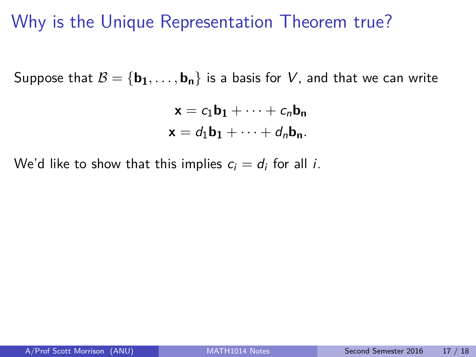## Why is the Unique Representation Theorem true?

Suppose that  $B = {\bf{b_1}, \ldots, b_n}$  is a basis for V, and that we can write

$$
\mathbf{x} = c_1 \mathbf{b}_1 + \dots + c_n \mathbf{b}_n
$$

$$
\mathbf{x} = d_1 \mathbf{b}_1 + \dots + d_n \mathbf{b}_n.
$$

We'd like to show that this implies  $c_i = d_i$  for all *i*.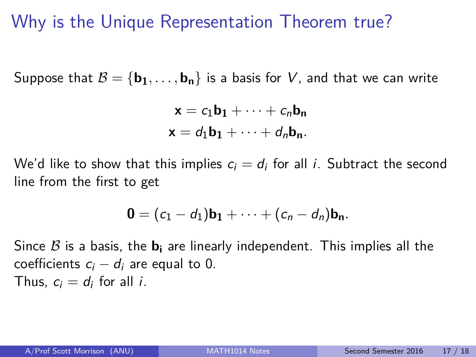# Why is the Unique Representation Theorem true?

Suppose that  $B = {\bf{b_1}, \ldots, b_n}$  is a basis for V, and that we can write

$$
\mathbf{x} = c_1 \mathbf{b}_1 + \dots + c_n \mathbf{b}_n
$$

$$
\mathbf{x} = d_1 \mathbf{b}_1 + \dots + d_n \mathbf{b}_n.
$$

We'd like to show that this implies  $c_i = d_i$  for all *i*. Subtract the second line from the first to get

$$
\mathbf{0}=(c_1-d_1)\mathbf{b_1}+\cdots+(c_n-d_n)\mathbf{b_n}.
$$

Since  $\beta$  is a basis, the  $\mathbf{b}_i$  are linearly independent. This implies all the coefficients  $c_i - d_i$  are equal to 0. Thus,  $c_i = d_i$  for all *i*.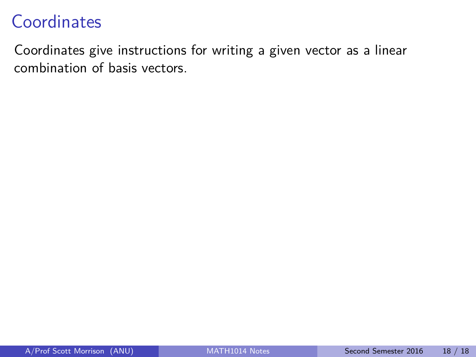## **Coordinates**

Coordinates give instructions for writing a given vector as a linear combination of basis vectors.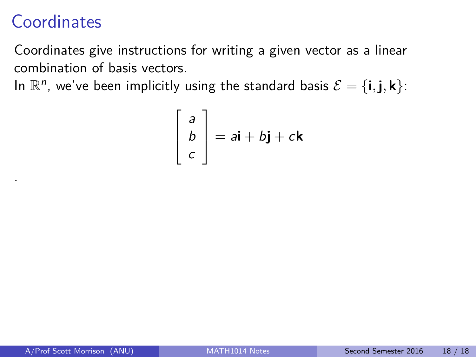# **Coordinates**

.

Coordinates give instructions for writing a given vector as a linear combination of basis vectors.

In  $\mathbb{R}^n$ , we've been implicitly using the standard basis  $\mathcal{E} = \{\mathbf{i}, \mathbf{j}, \mathbf{k}\}$ :

$$
\begin{bmatrix} a \\ b \\ c \end{bmatrix} = a\mathbf{i} + b\mathbf{j} + c\mathbf{k}
$$